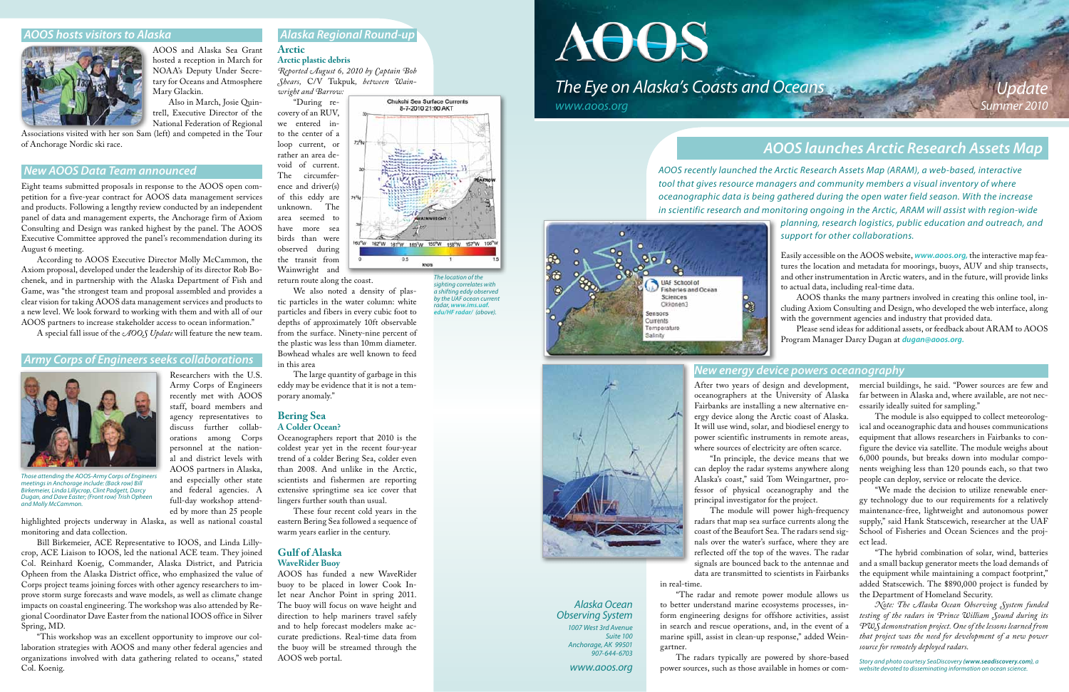

*www.aoos.org*

# *AOOS hosts visitors to Alaska*



AOOS and Alaska Sea Grant hosted a reception in March for NOAA's Deputy Under Secretary for Oceans and Atmosphere Mary Glackin.

Also in March, Josie Quintrell, Executive Director of the National Federation of Regional

Associations visited with her son Sam (left) and competed in the Tour of Anchorage Nordic ski race.

### *New AOOS Data Team announced*

Eight teams submitted proposals in response to the AOOS open competition for a five-year contract for AOOS data management services and products. Following a lengthy review conducted by an independent panel of data and management experts, the Anchorage firm of Axiom Consulting and Design was ranked highest by the panel. The AOOS Executive Committee approved the panel's recommendation during its August 6 meeting.

According to AOOS Executive Director Molly McCammon, the Axiom proposal, developed under the leadership of its director Rob Bochenek, and in partnership with the Alaska Department of Fish and Game, was "the strongest team and proposal assembled and provides a clear vision for taking AOOS data management services and products to a new level. We look forward to working with them and with all of our AOOS partners to increase stakeholder access to ocean information."

A special fall issue of the *AOOS Update* will feature the new team.

### *Army Corps of Engineers seeks collaborations*

staff, board members and agency representatives to

orations among Corps

and especially other state and federal agencies. A full-day workshop attended by more than 25 people

highlighted projects underway in Alaska, as well as national coastal monitoring and data collection.



*Those attending the AOOS-Army Corps of Engineers meetings in Anchorage include: (Back row) Bill Birkemeier, Linda Lillycrop, Clint Padgett, Darcy Dugan, and Dave Easter; (Front row) Trish Opheen and Molly McCammon.*

Bill Birkemeier, ACE Representative to IOOS, and Linda Lillycrop, ACE Liaison to IOOS, led the national ACE team. They joined Col. Reinhard Koenig, Commander, Alaska District, and Patricia Opheen from the Alaska District office, who emphasized the value of Corps project teams joining forces with other agency researchers to improve storm surge forecasts and wave models, as well as climate change impacts on coastal engineering. The workshop was also attended by Regional Coordinator Dave Easter from the national IOOS office in Silver Spring, MD.

"This workshop was an excellent opportunity to improve our collaboration strategies with AOOS and many other federal agencies and organizations involved with data gathering related to oceans," stated Col. Koenig.

# *Alaska Regional Round-up*

#### **Arctic Arctic plastic debris**

*Reported August 6, 2010 by Captain Bob Shears,* C/V Tukpuk*, between Wainwright and Barrow:*

 $72^h$ N

"During recovery of an RUV, we entered into the center of a loop current, or rather an area devoid of current. The circumference and driver(s) of this eddy are unknown. The area seemed to have more sea birds than were observed during the transit from Wainwright and

return route along the coast.

We also noted a density of plastic particles in the water column: white particles and fibers in every cubic foot to depths of approximately 10ft observable from the surface. Ninety-nine percent of the plastic was less than 10mm diameter. Bowhead whales are well known to feed in this area

The large quantity of garbage in this eddy may be evidence that it is not a temporary anomaly."

#### **Bering Sea A Colder Ocean?**

Oceanographers report that 2010 is the coldest year yet in the recent four-year trend of a colder Bering Sea, colder even than 2008. And unlike in the Arctic, scientists and fishermen are reporting extensive springtime sea ice cover that lingers further south than usual.

These four recent cold years in the eastern Bering Sea followed a sequence of warm years earlier in the century.

# **Gulf of Alaska WaveRider Buoy**

AOOS has funded a new WaveRider

buoy to be placed in lower Cook Inlet near Anchor Point in spring 2011. The buoy will focus on wave height and direction to help mariners travel safely and to help forecast modelers make accurate predictions. Real-time data from the buoy will be streamed through the AOOS web portal.



# **The Eye on Alaska's Coasts and Oceans**

# *AOOS launches Arctic Research Assets Map*

*AOOS recently launched the Arctic Research Assets Map (ARAM), a web-based, interactive tool that gives resource managers and community members a visual inventory of where oceanographic data is being gathered during the open water field season. With the increase in scientific research and monitoring ongoing in the Arctic, ARAM will assist with region-wide planning, research logistics, public education and outreach, and support for other collaborations.* 





Easily accessible on the AOOS website, *[www.aoos.org](http://www.aoos.org),* the interactive map features the location and metadata for moorings, buoys, AUV and ship transects, and other instrumentation in Arctic waters, and in the future, will provide links to actual data, including real-time data.

AOOS thanks the many partners involved in creating this online tool, including Axiom Consulting and Design, who developed the web interface, along with the government agencies and industry that provided data.

Please send ideas for additional assets, or feedback about ARAM to AOOS Program Manager Darcy Dugan at *[dugan@aoos.org.](mailto:dugan@aoos.org)*

After two years of design and development, oceanographers at the University of Alaska Fairbanks are installing a new alternative energy device along the Arctic coast of Alaska. It will use wind, solar, and biodiesel energy to power scientific instruments in remote areas, where sources of electricity are often scarce.

"In principle, the device means that we can deploy the radar systems anywhere along Alaska's coast," said Tom Weingartner, professor of physical oceanography and the principal investigator for the project.

The module will power high-frequency radars that map sea surface currents along the coast of the Beaufort Sea. The radars send signals over the water's surface, where they are reflected off the top of the waves. The radar signals are bounced back to the antennae and data are transmitted to scientists in Fairbanks

in real-time.

"The radar and remote power module allows us to better understand marine ecosystems processes, inform engineering designs for offshore activities, assist in search and rescue operations, and, in the event of a marine spill, assist in clean-up response," added Weingartner.

The radars typically are powered by shore-based power sources, such as those available in homes or com-



mercial buildings, he said. "Power sources are few and far between in Alaska and, where available, are not necessarily ideally suited for sampling."

The module is also equipped to collect meteorological and oceanographic data and houses communications equipment that allows researchers in Fairbanks to configure the device via satellite. The module weighs about 6,000 pounds, but breaks down into modular components weighing less than 120 pounds each, so that two people can deploy, service or relocate the device.

"We made the decision to utilize renewable energy technology due to our requirements for a relatively maintenance-free, lightweight and autonomous power supply," said Hank Statscewich, researcher at the UAF School of Fisheries and Ocean Sciences and the project lead.

"The hybrid combination of solar, wind, batteries and a small backup generator meets the load demands of the equipment while maintaining a compact footprint," added Statscewich. The \$890,000 project is funded by the Department of Homeland Security.

*Note: The Alaska Ocean Observing System funded testing of the radars in Prince William Sound during its PWS demonstration project. One of the lessons learned from that project was the need for development of a new power source for remotely deployed radars.*

*Story and photo courtesy SeaDiscovery [\(www.seadiscovery.com\)](http://www.seadiscovery.com), a website devoted to disseminating information on ocean science.*

## *New energy device powers oceanography*

*The location of the sighting correlates with a shifting eddy observed by the UAF ocean current radar, [www.ims.uaf.](http://www.ims.uaf.edu/hfradar/) [edu/HF radar/](http://www.ims.uaf.edu/hfradar/) (above).*

Chukchi Sea Surface Currents 8-7-2010 21:00 AKT

163<sup>4</sup>W 162<sup>6</sup>W 161<sup>6</sup>W 160<sup>5</sup>W 159<sup>6</sup>W 158<sup>6</sup>W 157<sup>6</sup>W 156<sup>6</sup>

knots

 $0.5$